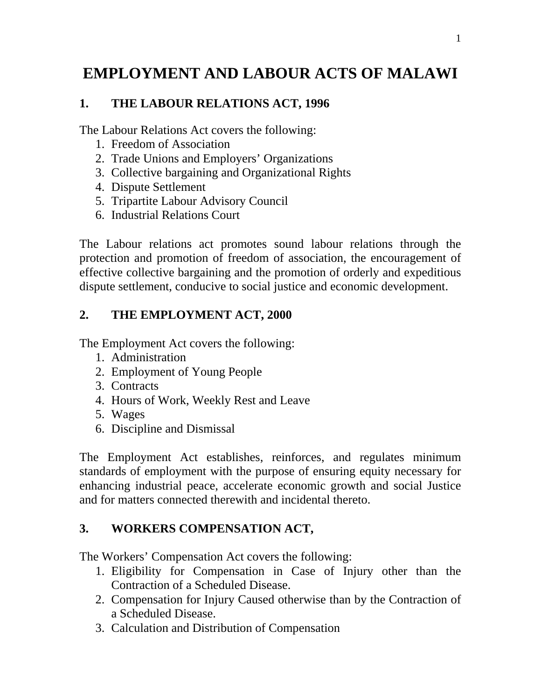# **EMPLOYMENT AND LABOUR ACTS OF MALAWI**

### **1. THE LABOUR RELATIONS ACT, 1996**

The Labour Relations Act covers the following:

- 1. Freedom of Association
- 2. Trade Unions and Employers' Organizations
- 3. Collective bargaining and Organizational Rights
- 4. Dispute Settlement
- 5. Tripartite Labour Advisory Council
- 6. Industrial Relations Court

The Labour relations act promotes sound labour relations through the protection and promotion of freedom of association, the encouragement of effective collective bargaining and the promotion of orderly and expeditious dispute settlement, conducive to social justice and economic development.

## **2. THE EMPLOYMENT ACT, 2000**

The Employment Act covers the following:

- 1. Administration
- 2. Employment of Young People
- 3. Contracts
- 4. Hours of Work, Weekly Rest and Leave
- 5. Wages
- 6. Discipline and Dismissal

The Employment Act establishes, reinforces, and regulates minimum standards of employment with the purpose of ensuring equity necessary for enhancing industrial peace, accelerate economic growth and social Justice and for matters connected therewith and incidental thereto.

#### **3. WORKERS COMPENSATION ACT,**

The Workers' Compensation Act covers the following:

- 1. Eligibility for Compensation in Case of Injury other than the Contraction of a Scheduled Disease.
- 2. Compensation for Injury Caused otherwise than by the Contraction of a Scheduled Disease.
- 3. Calculation and Distribution of Compensation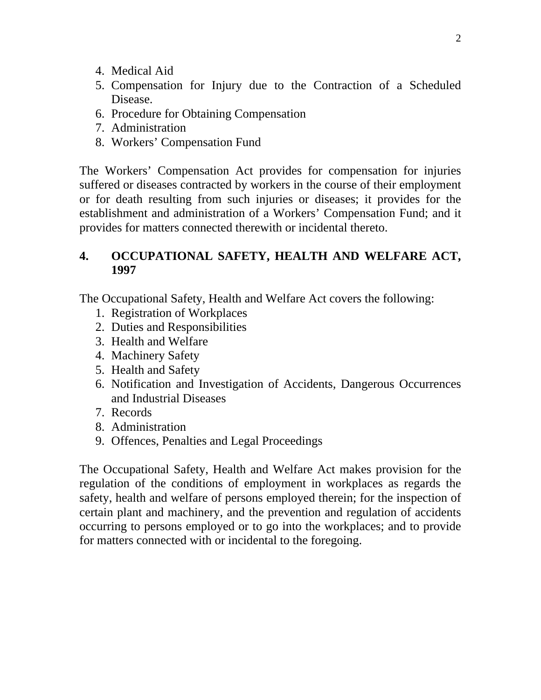- 4. Medical Aid
- 5. Compensation for Injury due to the Contraction of a Scheduled Disease.
- 6. Procedure for Obtaining Compensation
- 7. Administration
- 8. Workers' Compensation Fund

The Workers' Compensation Act provides for compensation for injuries suffered or diseases contracted by workers in the course of their employment or for death resulting from such injuries or diseases; it provides for the establishment and administration of a Workers' Compensation Fund; and it provides for matters connected therewith or incidental thereto.

#### **4. OCCUPATIONAL SAFETY, HEALTH AND WELFARE ACT, 1997**

The Occupational Safety, Health and Welfare Act covers the following:

- 1. Registration of Workplaces
- 2. Duties and Responsibilities
- 3. Health and Welfare
- 4. Machinery Safety
- 5. Health and Safety
- 6. Notification and Investigation of Accidents, Dangerous Occurrences and Industrial Diseases
- 7. Records
- 8. Administration
- 9. Offences, Penalties and Legal Proceedings

The Occupational Safety, Health and Welfare Act makes provision for the regulation of the conditions of employment in workplaces as regards the safety, health and welfare of persons employed therein; for the inspection of certain plant and machinery, and the prevention and regulation of accidents occurring to persons employed or to go into the workplaces; and to provide for matters connected with or incidental to the foregoing.